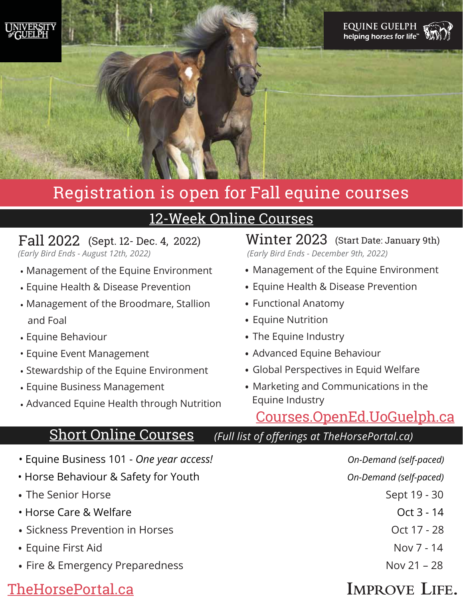



# Registration is open for Fall equine courses

## [12-Week Online Courses](https://courses.opened.uoguelph.ca/contentManagement.do?method=load&code=CM000020)

#### Fall 2022 (Sept. 12- Dec. 4, 2022)

*(Early Bird Ends - August 12th, 2022)*

- Management of the Equine Environment
- Equine Health & Disease Prevention
- Management of the Broodmare, Stallion and Foal
- Equine Behaviour
- Equine Event Management
- Stewardship of the Equine Environment
- Equine Business Management
- Advanced Equine Health through Nutrition

- Equine Business 101 *One year access! On-Demand (self-paced)*
- Horse Behaviour & Safety for Youth *On-Demand (self-paced)*
- The Senior Horse Sept 19 30
- Horse Care & Welfare **Care 2018** Horse Care 3 14
- Sickness Prevention in Horses **Community 1998** Oct 17 28
- Equine First Aid Nov 7 14
- Fire & Emergency Preparedness Nov 21 28

### [TheHorsePortal.ca](https://thehorseportal.ca)

Winter 2023 (Start Date: January 9th) *(Early Bird Ends - December 9th, 2022)*

- Management of the Equine Environment
- Equine Health & Disease Prevention
- Functional Anatomy
- Equine Nutrition
- The Equine Industry
- Advanced Equine Behaviour
- Global Perspectives in Equid Welfare
- Marketing and Communications in the Equine Industry

### [Courses.OpenEd.UoGuelph.ca](https://courses.opened.uoguelph.ca/contentManagement.do?method=load&code=CM000020)

### [Short Online Courses](https://thehorseportal.ca/courses/) *(Full list of offerings at TheHorsePortal.ca)*

- 
- 

## **IMPROVE LIFE.**